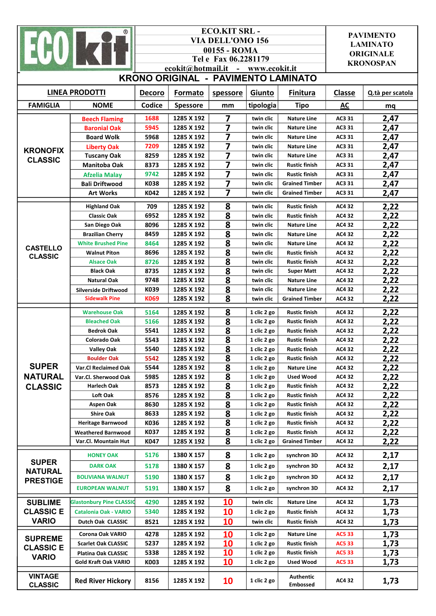| $^{\circledR}$                                     |                                       |               | <b>ECO.KIT SRL-</b><br><b>VIA DELL'OMO 156</b><br>00155 - ROMA<br>Tel e Fax 06.2281179<br>ecokit@hotmail.it - www.ecokit.it | <b>PAVIMENTO</b><br><b>LAMINATO</b><br><b>ORIGINALE</b><br><b>KRONOSPAN</b> |                            |                                              |                  |                  |  |  |  |  |
|----------------------------------------------------|---------------------------------------|---------------|-----------------------------------------------------------------------------------------------------------------------------|-----------------------------------------------------------------------------|----------------------------|----------------------------------------------|------------------|------------------|--|--|--|--|
| KRONO ORIGINAL - PAVIMENTO LAMINATO                |                                       |               |                                                                                                                             |                                                                             |                            |                                              |                  |                  |  |  |  |  |
| <b>LINEA PRODOTTI</b>                              |                                       | <b>Decoro</b> | Formato                                                                                                                     | spessore                                                                    | Giunto                     | <b>Finitura</b>                              | Classe           | Q.tà per scatola |  |  |  |  |
| <b>FAMIGLIA</b><br><b>NOME</b>                     |                                       | Codice        | Spessore                                                                                                                    | mm                                                                          | tipologia                  | <b>Tipo</b>                                  | AC               | mq               |  |  |  |  |
| <b>KRONOFIX</b><br><b>CLASSIC</b>                  | <b>Beech Flaming</b>                  | 1688          | 1285 X 192                                                                                                                  | 7                                                                           | twin clic                  | <b>Nature Line</b>                           | AC3 31           | 2,47             |  |  |  |  |
|                                                    | <b>Baronial Oak</b>                   | 5945          | 1285 X 192                                                                                                                  | 7                                                                           | twin clic                  | <b>Nature Line</b>                           | AC3 31           | 2,47             |  |  |  |  |
|                                                    | <b>Board Wolk</b>                     | 5968          | 1285 X 192                                                                                                                  | 7                                                                           | twin clic                  | <b>Nature Line</b>                           | AC3 31           | 2,47             |  |  |  |  |
|                                                    | <b>Liberty Oak</b>                    | 7209          | 1285 X 192                                                                                                                  | 7                                                                           | twin clic                  | <b>Nature Line</b>                           | AC3 31           | 2,47             |  |  |  |  |
|                                                    | <b>Tuscany Oak</b>                    | 8259          | 1285 X 192                                                                                                                  | 7                                                                           | twin clic                  | <b>Nature Line</b>                           | AC3 31           | 2,47             |  |  |  |  |
|                                                    | <b>Manitoba Oak</b>                   | 8373          | 1285 X 192                                                                                                                  | 7                                                                           | twin clic                  | <b>Rustic finish</b>                         | AC3 31           | 2,47             |  |  |  |  |
|                                                    | <b>Afzelia Malay</b>                  | 9742          | 1285 X 192                                                                                                                  | $\overline{\mathbf{z}}$                                                     | twin clic                  | <b>Rustic finish</b>                         | AC3 31           | 2,47             |  |  |  |  |
|                                                    | <b>Bali Driftwood</b>                 | K038          | 1285 X 192                                                                                                                  | 7                                                                           | twin clic                  | <b>Grained Timber</b>                        | AC3 31           | 2,47             |  |  |  |  |
|                                                    | <b>Art Works</b>                      | K042          | 1285 X 192                                                                                                                  | 7                                                                           | twin clic                  | <b>Grained Timber</b>                        | AC3 31           | 2,47             |  |  |  |  |
|                                                    | <b>Highland Oak</b>                   | 709           | 1285 X 192                                                                                                                  | 8                                                                           | twin clic                  | <b>Rustic finish</b>                         | AC4 32           | 2,22             |  |  |  |  |
|                                                    | <b>Classic Oak</b>                    | 6952          | 1285 X 192                                                                                                                  | 8                                                                           | twin clic                  | <b>Rustic finish</b>                         | AC4 32           | 2,22             |  |  |  |  |
|                                                    | San Diego Oak                         | 8096          | 1285 X 192                                                                                                                  | 8                                                                           | twin clic                  | <b>Nature Line</b>                           | AC4 32           | 2,22             |  |  |  |  |
|                                                    | <b>Brazilian Cherry</b>               | 8459          | 1285 X 192                                                                                                                  | $\overline{\mathbf{8}}$                                                     | twin clic                  | <b>Nature Line</b>                           | <b>AC432</b>     | 2,22             |  |  |  |  |
| <b>CASTELLO</b>                                    | <b>White Brushed Pine</b>             | 8464          | 1285 X 192                                                                                                                  | $\overline{\mathbf{8}}$                                                     | twin clic                  | <b>Nature Line</b>                           | <b>AC432</b>     | 2,22             |  |  |  |  |
| <b>CLASSIC</b>                                     | <b>Walnut Piton</b>                   | 8696          | 1285 X 192                                                                                                                  | $\overline{\mathbf{8}}$                                                     | twin clic                  | <b>Rustic finish</b>                         | AC4 32           | 2,22             |  |  |  |  |
|                                                    | <b>Alsace Oak</b><br><b>Black Oak</b> | 8726<br>8735  | 1285 X 192<br>1285 X 192                                                                                                    | $\overline{\mathbf{8}}$<br>$\overline{\mathbf{8}}$                          | twin clic<br>twin clic     | <b>Rustic finish</b><br><b>Super Matt</b>    | AC4 32<br>AC4 32 | 2,22             |  |  |  |  |
|                                                    | <b>Natural Oak</b>                    | 9748          | 1285 X 192                                                                                                                  | $\overline{\mathbf{8}}$                                                     | twin clic                  | <b>Nature Line</b>                           | AC4 32           | 2,22<br>2,22     |  |  |  |  |
|                                                    | <b>Silverside Driftwood</b>           | K039          | 1285 X 192                                                                                                                  | 8                                                                           | twin clic                  | <b>Nature Line</b>                           | AC4 32           | 2,22             |  |  |  |  |
|                                                    | <b>Sidewalk Pine</b>                  | <b>K069</b>   | 1285 X 192                                                                                                                  | $\overline{\mathbf{8}}$                                                     | twin clic                  | <b>Grained Timber</b>                        | AC4 32           | 2,22             |  |  |  |  |
|                                                    | <b>Warehouse Oak</b>                  | 5164          | 1285 X 192                                                                                                                  | 8                                                                           | 1 clic 2 go                | <b>Rustic finish</b>                         | AC4 32           | 2,22             |  |  |  |  |
|                                                    | <b>Bleached Oak</b>                   | 5166          | 1285 X 192                                                                                                                  | 8                                                                           | 1 clic 2 go                | <b>Rustic finish</b>                         | AC4 32           | 2,22             |  |  |  |  |
|                                                    | <b>Bedrok Oak</b>                     | 5541          | 1285 X 192                                                                                                                  | 8                                                                           | 1 clic 2 go                | <b>Rustic finish</b>                         | AC4 32           | 2,22             |  |  |  |  |
|                                                    | <b>Colorado Oak</b>                   | 5543          | 1285 X 192                                                                                                                  | $\overline{\mathbf{8}}$                                                     | 1 clic 2 go                | <b>Rustic finish</b>                         | AC4 32           | 2,22             |  |  |  |  |
|                                                    | <b>Valley Oak</b>                     | 5540          | 1285 X 192                                                                                                                  | $\overline{\mathbf{8}}$                                                     | 1 clic 2 go                | <b>Rustic finish</b>                         | AC4 32           | 2,22             |  |  |  |  |
|                                                    | <b>Boulder Oak</b>                    | 5542          | 1285 X 192                                                                                                                  | 8                                                                           | 1 clic 2 go                | <b>Rustic finish</b>                         | AC4 32           | 2,22             |  |  |  |  |
| <b>SUPER</b>                                       | <b>Var.Cl Reclaimed Oak</b>           | 5544          | 1285 X 192                                                                                                                  | 8                                                                           | 1 clic 2 go                | <b>Nature Line</b>                           | AC4 32           | 2,22             |  |  |  |  |
| <b>NATURAL</b><br><b>CLASSIC</b>                   | Var.Cl. Sherwood Oak                  | 5985          | 1285 X 192                                                                                                                  | 8                                                                           | 1 clic 2 go                | <b>Used Wood</b>                             | AC4 32           | 2,22             |  |  |  |  |
|                                                    | Harlech Oak                           | 8573          | 1285 X 192                                                                                                                  | 8                                                                           | 1 clic 2 go                | <b>Rustic finish</b>                         | AC4 32           | 2,22             |  |  |  |  |
|                                                    | Loft Oak<br>Aspen Oak                 | 8576<br>8630  | 1285 X 192<br>1285 X 192                                                                                                    | 8<br>8                                                                      | 1 clic 2 go<br>1 clic 2 go | <b>Rustic finish</b><br><b>Rustic finish</b> | AC4 32<br>AC4 32 | 2,22<br>2,22     |  |  |  |  |
|                                                    | <b>Shire Oak</b>                      | 8633          | 1285 X 192                                                                                                                  | 8                                                                           | 1 clic 2 go                | <b>Rustic finish</b>                         | AC4 32           | 2,22             |  |  |  |  |
|                                                    | <b>Heritage Barnwood</b>              | K036          | 1285 X 192                                                                                                                  | 8                                                                           | 1 clic 2 go                | <b>Rustic finish</b>                         | AC4 32           | 2,22             |  |  |  |  |
|                                                    | <b>Weathered Barnwood</b>             | K037          | 1285 X 192                                                                                                                  | 8                                                                           | 1 clic 2 go                | <b>Rustic finish</b>                         | AC4 32           | 2,22             |  |  |  |  |
|                                                    | Var.Cl. Mountain Hut                  | K047          | 1285 X 192                                                                                                                  | 8                                                                           | 1 clic 2 go                | <b>Grained Timber</b>                        | AC4 32           | 2,22             |  |  |  |  |
|                                                    | <b>HONEY OAK</b>                      | 5176          | 1380 X 157                                                                                                                  | 8                                                                           | 1 clic 2 go                | synchron 3D                                  | AC4 32           | 2,17             |  |  |  |  |
| <b>SUPER</b>                                       | <b>DARK OAK</b>                       | 5178          | 1380 X 157                                                                                                                  | 8                                                                           | 1 clic 2 go                | synchron 3D                                  | AC4 32           | 2,17             |  |  |  |  |
| <b>NATURAL</b><br><b>PRESTIGE</b>                  | <b>BOLIVIANA WALNUT</b>               | 5190          | 1380 X 157                                                                                                                  | 8                                                                           | 1 clic 2 go                | synchron 3D                                  | AC4 32           | 2,17             |  |  |  |  |
|                                                    | <b>EUROPEAN WALNUT</b>                | 5191          | 1380 X 157                                                                                                                  | 8                                                                           | 1 clic 2 go                | synchron 3D                                  | AC4 32           | 2,17             |  |  |  |  |
| <b>SUBLIME</b>                                     | <b>Glastonbury Pine CLASSIC</b>       | 4290          | 1285 X 192                                                                                                                  | 10                                                                          | twin clic                  | <b>Nature Line</b>                           | AC4 32           | 1,73             |  |  |  |  |
| <b>CLASSIC E</b><br><b>VARIO</b>                   | <b>Catalonia Oak - VARIO</b>          | 5340          | 1285 X 192                                                                                                                  | 10                                                                          | 1 clic 2 go                | <b>Rustic finish</b>                         | AC4 32           | 1,73             |  |  |  |  |
|                                                    | Dutch Oak CLASSIC                     | 8521          | 1285 X 192                                                                                                                  | 10                                                                          | twin clic                  | <b>Rustic finish</b>                         | AC4 32           | 1,73             |  |  |  |  |
| <b>SUPREME</b><br><b>CLASSIC E</b><br><b>VARIO</b> | Corona Oak VARIO                      | 4278          | 1285 X 192                                                                                                                  | 10                                                                          | 1 clic 2 go                | <b>Nature Line</b>                           | <b>AC5 33</b>    | 1,73             |  |  |  |  |
|                                                    | <b>Scarlet Oak CLASSIC</b>            | 5237          | 1285 X 192                                                                                                                  | 10                                                                          | 1 clic 2 go                | <b>Rustic finish</b>                         | AC5 33           | 1,73             |  |  |  |  |
|                                                    | <b>Platina Oak CLASSIC</b>            | 5338          | 1285 X 192                                                                                                                  | 10                                                                          | 1 clic 2 go                | <b>Rustic finish</b>                         | AC5 33           | 1,73             |  |  |  |  |
|                                                    | <b>Gold Kraft Oak VARIO</b>           | K003          | 1285 X 192                                                                                                                  | 10                                                                          | 1 clic 2 go                | <b>Used Wood</b>                             | <b>AC5 33</b>    | 1,73             |  |  |  |  |
| <b>VINTAGE</b><br><b>CLASSIC</b>                   | <b>Red River Hickory</b>              | 8156          | 1285 X 192                                                                                                                  | 10                                                                          | 1 clic 2 go                | Authentic<br><b>Embossed</b>                 | AC4 32           | 1,73             |  |  |  |  |